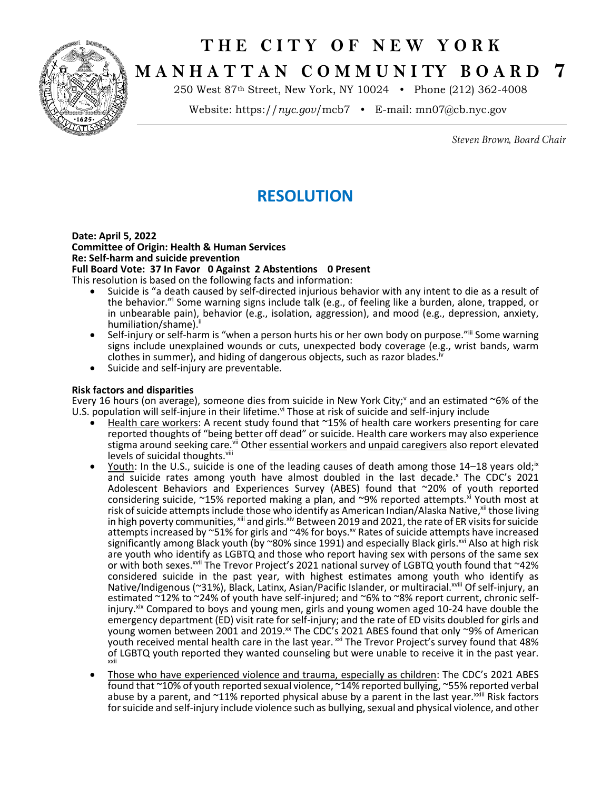## **T H E C I T Y O F N E W Y O R K**



# **M A N H A T T A N C O M M U N I TY B O A R D 7**

250 West 87th Street, New York, NY 10024 • Phone (212) 362-4008

Website: https://*nyc.gov*/mcb7 • E-mail: [mn07@cb.nyc.gov](mailto:mn07@cb.nyc.gov)

Steven Brown, Board Chair

### **RESOLUTION**

#### **Date: April 5, 2022 Committee of Origin: Health & Human Services Re: Self-harm and suicide prevention Full Board Vote: 37 In Favor 0 Against 2 Abstentions 0 Present**

This resolution is based on the following facts and information:

- Suicide is "a death caused by self-directed injurious behavior with any intent to die as a result of the behavior."<sup>i</sup> Some warning signs include talk (e.g., of feeling like a burden, alone, trapped, or in unbearable pain), behavior (e.g., isolation, aggression), and mood (e.g., depression, anxiety, humiliation/shame).i
- Self-injury or self-harm is "when a person hurts his or her own body on purpose."iii Some warning signs include unexplained wounds or cuts, unexpected body coverage (e.g., wrist bands, warm clothes in summer), and hiding of dangerous objects, such as razor blades.
- Suicide and self-injury are preventable.

#### **Risk factors and disparities**

Every 16 hours (on average), someone dies from suicide in New York City; and an estimated  $\sim$  6% of the U.S. population will self-injure in their lifetime.<sup>vi</sup> Those at risk of suicide and self-injury include

- Health care workers: A recent study found that ~15% of health care workers presenting for care reported thoughts of "being better off dead" or suicide. Health care workers may also experience stigma around seeking care.<sup>vii</sup> Other essential workers and unpaid caregivers also report elevated levels of suicidal thoughts.<sup>viii</sup>
- Youth: In the U.S., suicide is one of the leading causes of death among those  $14-18$  years old;<sup>ix</sup> and suicide rates among youth have almost doubled in the last decade.<sup>x</sup> The CDC's 2021 Adolescent Behaviors and Experiences Survey (ABES) found that ~20% of youth reported considering suicide,  $\sim$ 15% reported making a plan, and  $\sim$ 9% reported attempts. $^{\times i}$  Youth most at risk of suicide attempts include those who identify as American Indian/Alaska Native, xii those living in high poverty communities, xiii and girls. Xiv Between 2019 and 2021, the rate of ER visits for suicide attempts increased by  $\sim$ 51% for girls and  $\sim$ 4% for boys.<sup>xv</sup> Rates of suicide attempts have increased significantly among Black youth (by ~80% since 1991) and especially Black girls.<sup>xvi</sup> Also at high risk are youth who identify as LGBTQ and those who report having sex with persons of the same sex or with both sexes.<sup>xvii</sup> The Trevor Project's 2021 national survey of LGBTQ youth found that ~42% considered suicide in the past year, with highest estimates among youth who identify as Native/Indigenous (~31%), Black, Latinx, Asian/Pacific Islander, or multiracial.<sup>xviii</sup> Of self-injury, an estimated ~12% to ~24% of youth have self-injured; and ~6% to ~8% report current, chronic selfinjury.<sup>xix</sup> Compared to boys and young men, girls and young women aged 10-24 have double the emergency department (ED) visit rate for self-injury; and the rate of ED visits doubled for girls and young women between 2001 and 2019.<sup>xx</sup> The CDC's 2021 ABES found that only ~9% of American youth received mental health care in the last year. xxi The Trevor Project's survey found that 48% of LGBTQ youth reported they wanted counseling but were unable to receive it in the past year. xxii
- Those who have experienced violence and trauma, especially as children: The CDC's 2021 ABES found that ~10% of youth reported sexual violence, ~14% reported bullying, ~55% reported verbal abuse by a parent, and  $~11\%$  reported physical abuse by a parent in the last year.  $x^{1/11}$  Risk factors for suicide and self-injury include violence such as bullying, sexual and physical violence, and other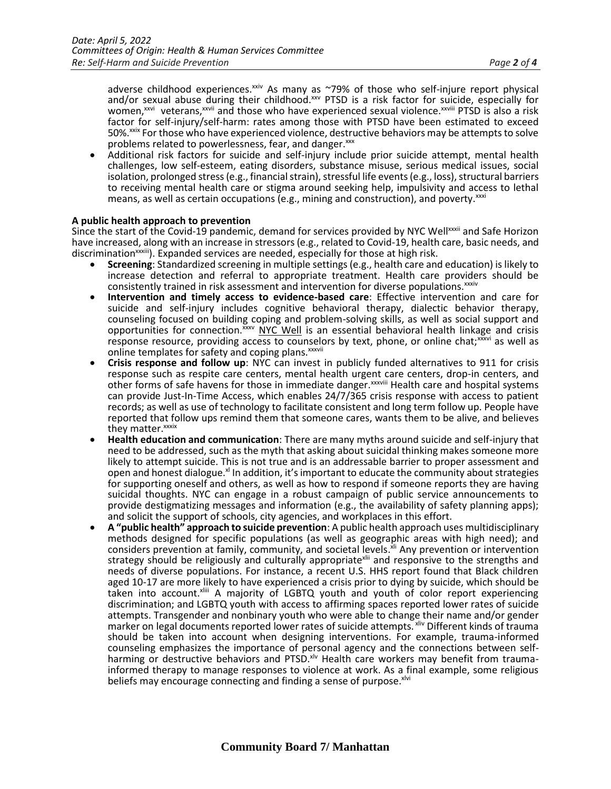adverse childhood experiences.<sup>xxiv</sup> As many as ~79% of those who self-injure report physical and/or sexual abuse during their childhood.<sup>xxv</sup> PTSD is a risk factor for suicide, especially for women,<sup>xxvi</sup> veterans,<sup>xxvii</sup> and those who have experienced sexual violence.<sup>xxviii</sup> PTSD is also a risk factor for self-injury/self-harm: rates among those with PTSD have been estimated to exceed 50%.<sup>xxix</sup> For those who have experienced violence, destructive behaviors may be attempts to solve problems related to powerlessness, fear, and danger.xxx

• Additional risk factors for suicide and self-injury include prior suicide attempt, mental health challenges, low self-esteem, eating disorders, substance misuse, serious medical issues, social isolation, prolonged stress (e.g., financial strain), stressful life events (e.g., loss), structural barriers to receiving mental health care or stigma around seeking help, impulsivity and access to lethal means, as well as certain occupations (e.g., mining and construction), and poverty. xxxi

#### **A public health approach to prevention**

Since the start of the Covid-19 pandemic, demand for services provided by NYC Wellxxxii and Safe Horizon have increased, along with an increase in stressors (e.g., related to Covid-19, health care, basic needs, and discrimination<sup>xxiii</sup>). Expanded services are needed, especially for those at high risk.

- **Screening**: Standardized screening in multiple settings (e.g., health care and education) is likely to increase detection and referral to appropriate treatment. Health care providers should be consistently trained in risk assessment and intervention for diverse populations. xxxiv
- **Intervention and timely access to evidence-based care**: Effective intervention and care for suicide and self-injury includes cognitive behavioral therapy, dialectic behavior therapy, counseling focused on building coping and problem-solving skills, as well as social support and opportunities for connection. XXXV [NYC Well](file:///C:/Users/catherinedelazzero/Downloads/NYC%20Well%20website) is an essential behavioral health linkage and crisis response resource, providing access to counselors by text, phone, or online chat;<sup>xxxvi</sup> as well as online templates for safety and coping plans. xxxvii
- **Crisis response and follow up**: NYC can invest in publicly funded alternatives to 911 for crisis response such as respite care centers, mental health urgent care centers, drop-in centers, and other forms of safe havens for those in immediate danger.<sup>xxxviii</sup> Health care and hospital systems can provide Just-In-Time Access, which enables 24/7/365 crisis response with access to patient records; as well as use of technology to facilitate consistent and long term follow up. People have reported that follow ups remind them that someone cares, wants them to be alive, and believes they matter.<sup>xxxix</sup>
- **Health education and communication**: There are many myths around suicide and self-injury that need to be addressed, such as the myth that asking about suicidal thinking makes someone more likely to attempt suicide. This is not true and is an addressable barrier to proper assessment and open and honest dialogue.<sup>xl</sup> In addition, it's important to educate the community about strategies for supporting oneself and others, as well as how to respond if someone reports they are having suicidal thoughts. NYC can engage in a robust campaign of public service announcements to provide destigmatizing messages and information (e.g., the availability of safety planning apps); and solicit the support of schools, city agencies, and workplaces in this effort.
- **A "public health" approach to suicide prevention**: A public health approach uses multidisciplinary methods designed for specific populations (as well as geographic areas with high need); and considers prevention at family, community, and societal levels. XII Any prevention or intervention strategy should be religiously and culturally appropriate<sup>xlii</sup> and responsive to the strengths and needs of diverse populations. For instance, a recent U.S. HHS report found that Black children aged 10-17 are more likely to have experienced a crisis prior to dying by suicide, which should be taken into account.<sup>xliii</sup> A majority of LGBTQ youth and youth of color report experiencing discrimination; and LGBTQ youth with access to affirming spaces reported lower rates of suicide attempts. Transgender and nonbinary youth who were able to change their name and/or gender marker on legal documents reported lower rates of suicide attempts. Xilv Different kinds of trauma should be taken into account when designing interventions. For example, trauma-informed counseling emphasizes the importance of personal agency and the connections between selfharming or destructive behaviors and PTSD.<sup>xlv</sup> Health care workers may benefit from traumainformed therapy to manage responses to violence at work. As a final example, some religious beliefs may encourage connecting and finding a sense of purpose.<sup>xlvi</sup>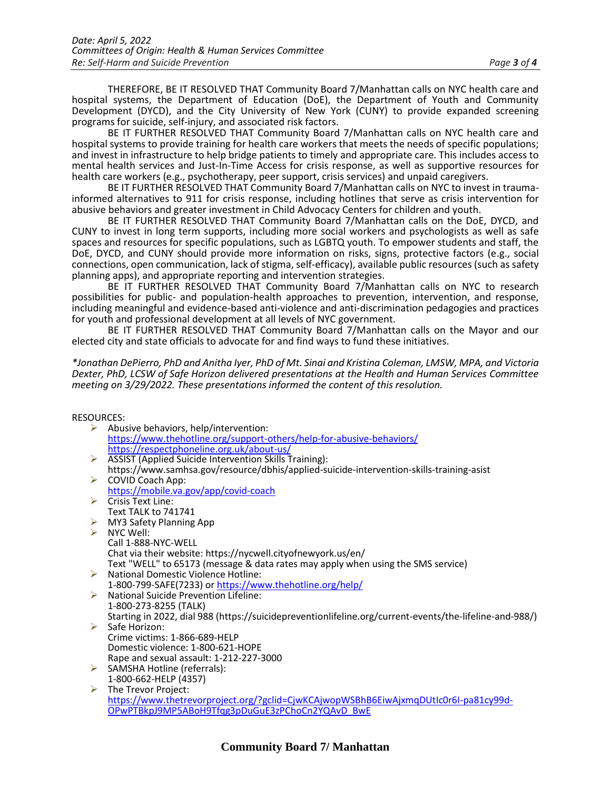THEREFORE, BE IT RESOLVED THAT Community Board 7/Manhattan calls on NYC health care and hospital systems, the Department of Education (DoE), the Department of Youth and Community Development (DYCD), and the City University of New York (CUNY) to provide expanded screening programs for suicide, self-injury, and associated risk factors.

BE IT FURTHER RESOLVED THAT Community Board 7/Manhattan calls on NYC health care and hospital systems to provide training for health care workers that meets the needs of specific populations; and invest in infrastructure to help bridge patients to timely and appropriate care. This includes access to mental health services and Just-In-Time Access for crisis response, as well as supportive resources for health care workers (e.g., psychotherapy, peer support, crisis services) and unpaid caregivers.

BE IT FURTHER RESOLVED THAT Community Board 7/Manhattan calls on NYC to invest in traumainformed alternatives to 911 for crisis response, including hotlines that serve as crisis intervention for abusive behaviors and greater investment in Child Advocacy Centers for children and youth.

BE IT FURTHER RESOLVED THAT Community Board 7/Manhattan calls on the DoE, DYCD, and CUNY to invest in long term supports, including more social workers and psychologists as well as safe spaces and resources for specific populations, such as LGBTQ youth. To empower students and staff, the DoE, DYCD, and CUNY should provide more information on risks, signs, protective factors (e.g., social connections, open communication, lack of stigma, self-efficacy), available public resources (such as safety planning apps), and appropriate reporting and intervention strategies.

BE IT FURTHER RESOLVED THAT Community Board 7/Manhattan calls on NYC to research possibilities for public- and population-health approaches to prevention, intervention, and response, including meaningful and evidence-based anti-violence and anti-discrimination pedagogies and practices for youth and professional development at all levels of NYC government.

BE IT FURTHER RESOLVED THAT Community Board 7/Manhattan calls on the Mayor and our elected city and state officials to advocate for and find ways to fund these initiatives.

*\*Jonathan DePierro, PhD and Anitha Iyer, PhD of Mt. Sinai and Kristina Coleman, LMSW, MPA, and Victoria Dexter, PhD, LCSW of Safe Horizon delivered presentations at the Health and Human Services Committee meeting on 3/29/2022. These presentations informed the content of this resolution.*

### RESOURCES:

| טשטווטט.              |                                                                                                         |
|-----------------------|---------------------------------------------------------------------------------------------------------|
| ➤                     | Abusive behaviors, help/intervention:                                                                   |
|                       | https://www.thehotline.org/support-others/help-for-abusive-behaviors/                                   |
|                       | https://respectphoneline.org.uk/about-us/                                                               |
|                       | ASSIST (Applied Suicide Intervention Skills Training):                                                  |
|                       | https://www.samhsa.gov/resource/dbhis/applied-suicide-intervention-skills-training-asist                |
| ➤                     | COVID Coach App:                                                                                        |
|                       | https://mobile.va.gov/app/covid-coach                                                                   |
|                       | $\triangleright$ Crisis Text Line:                                                                      |
|                       | <b>Text TALK to 741741</b>                                                                              |
|                       | $\triangleright$ MY3 Safety Planning App                                                                |
| $\blacktriangleright$ | NYC Well:                                                                                               |
|                       | Call 1-888-NYC-WELL                                                                                     |
|                       | Chat via their website: https://nycwell.cityofnewyork.us/en/                                            |
|                       | Text "WELL" to 65173 (message & data rates may apply when using the SMS service)                        |
| ➤                     | National Domestic Violence Hotline:                                                                     |
|                       | 1-800-799-SAFE(7233) or https://www.thehotline.org/help/                                                |
|                       | National Suicide Prevention Lifeline:                                                                   |
|                       | 1-800-273-8255 (TALK)                                                                                   |
|                       | Starting in 2022, dial 988 (https://suicidepreventionlifeline.org/current-events/the-lifeline-and-988/) |
|                       | $\triangleright$ Safe Horizon:                                                                          |
|                       | Crime victims: 1-866-689-HELP                                                                           |
|                       | Domestic violence: 1-800-621-HOPE                                                                       |
|                       | Rape and sexual assault: 1-212-227-3000                                                                 |
| ➤                     | SAMSHA Hotline (referrals):                                                                             |
|                       | 1-800-662-HELP (4357)                                                                                   |
| ➤                     | The Trevor Project:                                                                                     |
|                       | https://www.thetrevorproject.org/?gclid=CjwKCAjwopWSBhB6EiwAjxmqDUtlc0r6I-pa81cy99d-                    |
|                       | OPwPTBkpJ9MP5ABoH9Tfqg3pDuGuE3zPChoCn2YQAvD BwE                                                         |

### **Community Board 7/ Manhattan**